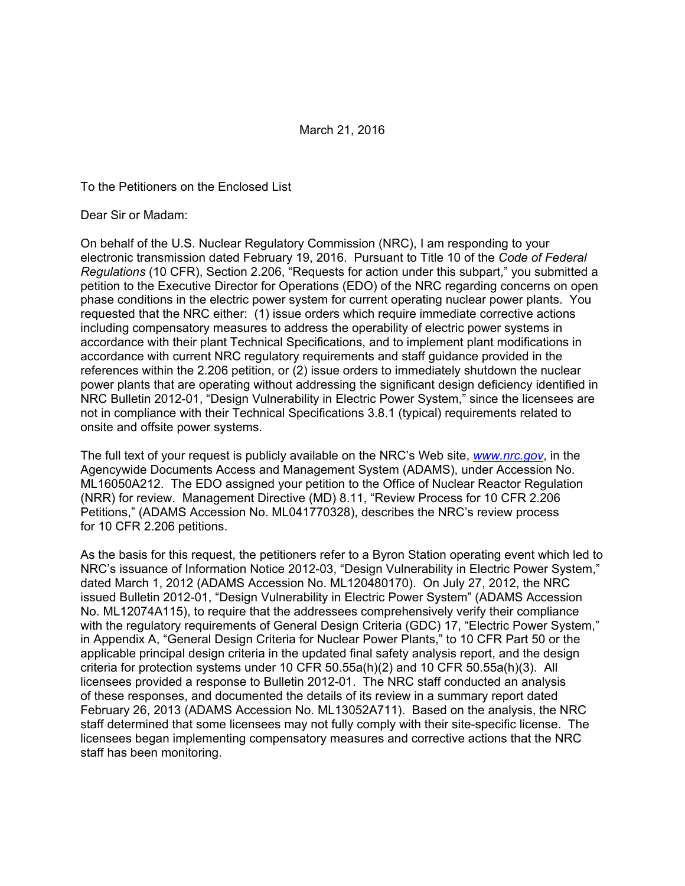#### To the Petitioners on the Enclosed List

Dear Sir or Madam:

On behalf of the U.S. Nuclear Regulatory Commission (NRC), I am responding to your electronic transmission dated February 19, 2016. Pursuant to Title 10 of the *Code of Federal Regulations* (10 CFR), Section 2.206, "Requests for action under this subpart," you submitted a petition to the Executive Director for Operations (EDO) of the NRC regarding concerns on open phase conditions in the electric power system for current operating nuclear power plants. You requested that the NRC either: (1) issue orders which require immediate corrective actions including compensatory measures to address the operability of electric power systems in accordance with their plant Technical Specifications, and to implement plant modifications in accordance with current NRC regulatory requirements and staff guidance provided in the references within the 2.206 petition, or (2) issue orders to immediately shutdown the nuclear power plants that are operating without addressing the significant design deficiency identified in NRC Bulletin 2012-01, "Design Vulnerability in Electric Power System," since the licensees are not in compliance with their Technical Specifications 3.8.1 (typical) requirements related to onsite and offsite power systems.

The full text of your request is publicly available on the NRC's Web site, *www.nrc.gov*, in the Agencywide Documents Access and Management System (ADAMS), under Accession No. ML16050A212. The EDO assigned your petition to the Office of Nuclear Reactor Regulation (NRR) for review. Management Directive (MD) 8.11, "Review Process for 10 CFR 2.206 Petitions," (ADAMS Accession No. ML041770328), describes the NRC's review process for 10 CFR 2.206 petitions.

As the basis for this request, the petitioners refer to a Byron Station operating event which led to NRC's issuance of Information Notice 2012-03, "Design Vulnerability in Electric Power System," dated March 1, 2012 (ADAMS Accession No. ML120480170). On July 27, 2012, the NRC issued Bulletin 2012-01, "Design Vulnerability in Electric Power System" (ADAMS Accession No. ML12074A115), to require that the addressees comprehensively verify their compliance with the regulatory requirements of General Design Criteria (GDC) 17, "Electric Power System," in Appendix A, "General Design Criteria for Nuclear Power Plants," to 10 CFR Part 50 or the applicable principal design criteria in the updated final safety analysis report, and the design criteria for protection systems under 10 CFR 50.55a(h)(2) and 10 CFR 50.55a(h)(3). All licensees provided a response to Bulletin 2012-01. The NRC staff conducted an analysis of these responses, and documented the details of its review in a summary report dated February 26, 2013 (ADAMS Accession No. ML13052A711). Based on the analysis, the NRC staff determined that some licensees may not fully comply with their site-specific license. The licensees began implementing compensatory measures and corrective actions that the NRC staff has been monitoring.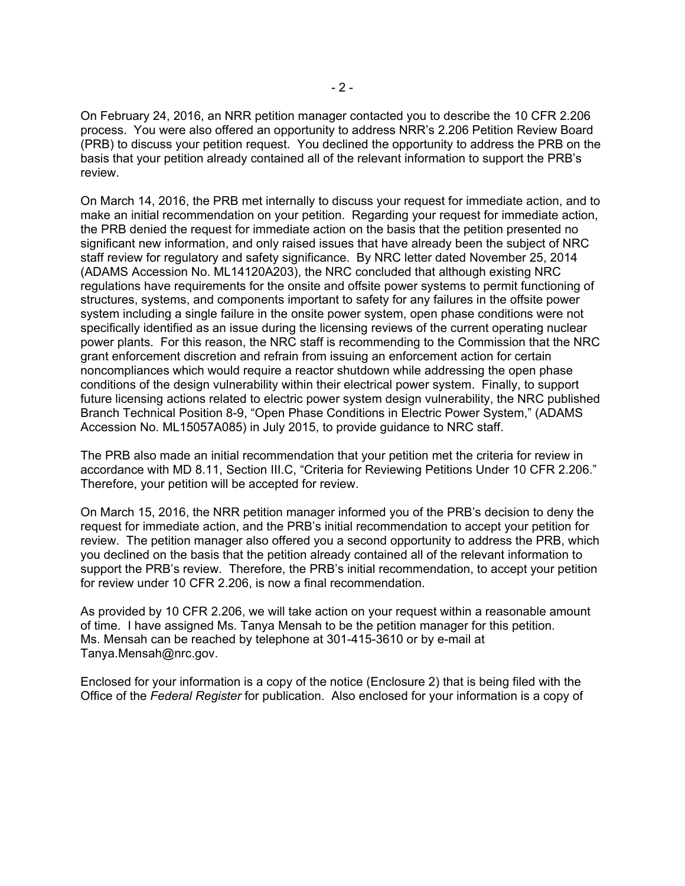On February 24, 2016, an NRR petition manager contacted you to describe the 10 CFR 2.206 process. You were also offered an opportunity to address NRR's 2.206 Petition Review Board (PRB) to discuss your petition request. You declined the opportunity to address the PRB on the basis that your petition already contained all of the relevant information to support the PRB's review.

On March 14, 2016, the PRB met internally to discuss your request for immediate action, and to make an initial recommendation on your petition. Regarding your request for immediate action, the PRB denied the request for immediate action on the basis that the petition presented no significant new information, and only raised issues that have already been the subject of NRC staff review for regulatory and safety significance. By NRC letter dated November 25, 2014 (ADAMS Accession No. ML14120A203), the NRC concluded that although existing NRC regulations have requirements for the onsite and offsite power systems to permit functioning of structures, systems, and components important to safety for any failures in the offsite power system including a single failure in the onsite power system, open phase conditions were not specifically identified as an issue during the licensing reviews of the current operating nuclear power plants. For this reason, the NRC staff is recommending to the Commission that the NRC grant enforcement discretion and refrain from issuing an enforcement action for certain noncompliances which would require a reactor shutdown while addressing the open phase conditions of the design vulnerability within their electrical power system. Finally, to support future licensing actions related to electric power system design vulnerability, the NRC published Branch Technical Position 8-9, "Open Phase Conditions in Electric Power System," (ADAMS Accession No. ML15057A085) in July 2015, to provide guidance to NRC staff.

The PRB also made an initial recommendation that your petition met the criteria for review in accordance with MD 8.11, Section III.C, "Criteria for Reviewing Petitions Under 10 CFR 2.206." Therefore, your petition will be accepted for review.

On March 15, 2016, the NRR petition manager informed you of the PRB's decision to deny the request for immediate action, and the PRB's initial recommendation to accept your petition for review. The petition manager also offered you a second opportunity to address the PRB, which you declined on the basis that the petition already contained all of the relevant information to support the PRB's review. Therefore, the PRB's initial recommendation, to accept your petition for review under 10 CFR 2.206, is now a final recommendation.

As provided by 10 CFR 2.206, we will take action on your request within a reasonable amount of time. I have assigned Ms. Tanya Mensah to be the petition manager for this petition. Ms. Mensah can be reached by telephone at 301-415-3610 or by e-mail at Tanya.Mensah@nrc.gov.

Enclosed for your information is a copy of the notice (Enclosure 2) that is being filed with the Office of the *Federal Register* for publication. Also enclosed for your information is a copy of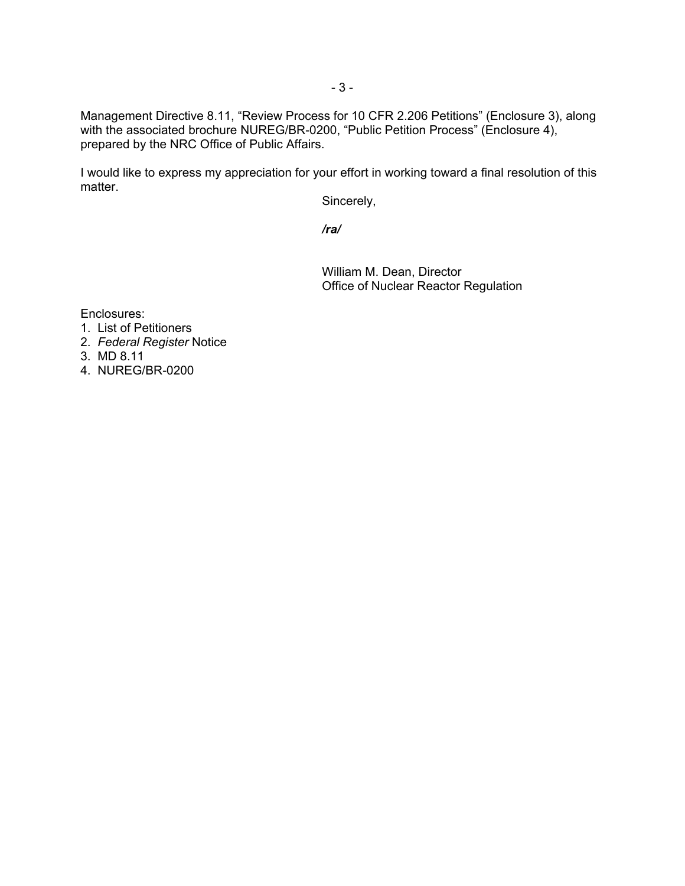Management Directive 8.11, "Review Process for 10 CFR 2.206 Petitions" (Enclosure 3), along with the associated brochure NUREG/BR-0200, "Public Petition Process" (Enclosure 4), prepared by the NRC Office of Public Affairs.

I would like to express my appreciation for your effort in working toward a final resolution of this matter.

Sincerely,

*/ra/* 

 William M. Dean, Director Office of Nuclear Reactor Regulation

Enclosures:

- 1. List of Petitioners
- 2. *Federal Register* Notice
- 3. MD 8.11
- 4. NUREG/BR-0200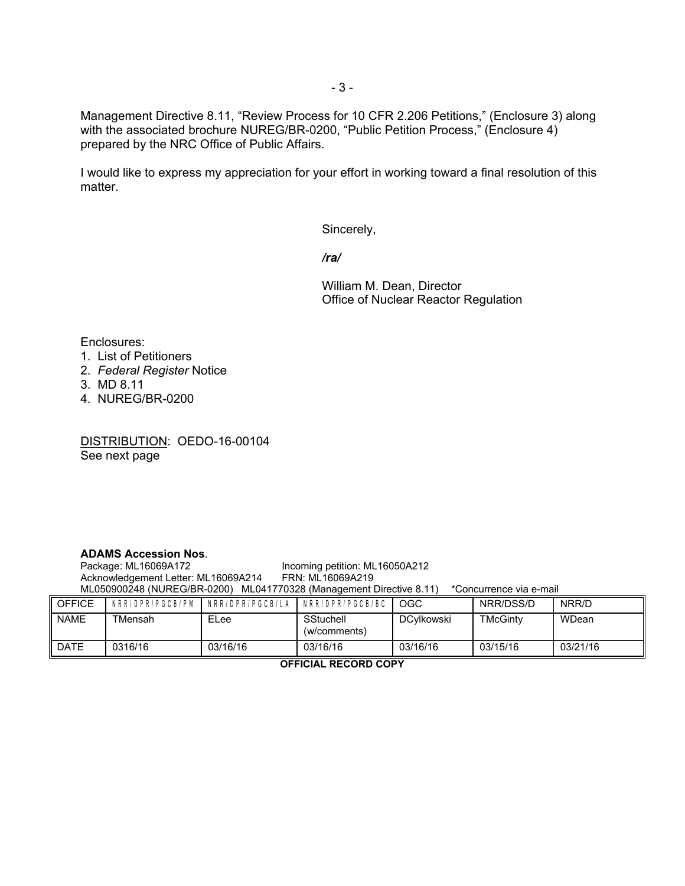Management Directive 8.11, "Review Process for 10 CFR 2.206 Petitions," (Enclosure 3) along with the associated brochure NUREG/BR-0200, "Public Petition Process," (Enclosure 4) prepared by the NRC Office of Public Affairs.

I would like to express my appreciation for your effort in working toward a final resolution of this matter.

Sincerely,

*/ra/* 

 William M. Dean, Director Office of Nuclear Reactor Regulation

Enclosures:

- 1. List of Petitioners
- 2. *Federal Register* Notice
- 3. MD 8.11
- 4. NUREG/BR-0200

DISTRIBUTION: OEDO-16-00104 See next page

### **ADAMS Accession Nos**.

Incoming petition: ML16050A212<br>FRN: ML16069A219 Acknowledgement Letter: ML16069A214 ML050900248 (NUREG/BR-0200) ML041770328 (Management Directive 8.11) \*Concurrence via e-mail

| <b>OFFICE</b> |         | NRR/DPR/PGCB/PM INRR/DPR/PGCB/LA INRR/DPR/PGCB/BC |                           | OGC        | NRR/DSS/D | NRR/D    |
|---------------|---------|---------------------------------------------------|---------------------------|------------|-----------|----------|
| <b>NAME</b>   | TMensah | ELee                                              | SStuchell<br>(w/comments) | DCvlkowski | TMcGinty  | WDean    |
| <b>DATE</b>   | 0316/16 | 03/16/16                                          | 03/16/16                  | 03/16/16   | 03/15/16  | 03/21/16 |

**OFFICIAL RECORD COPY**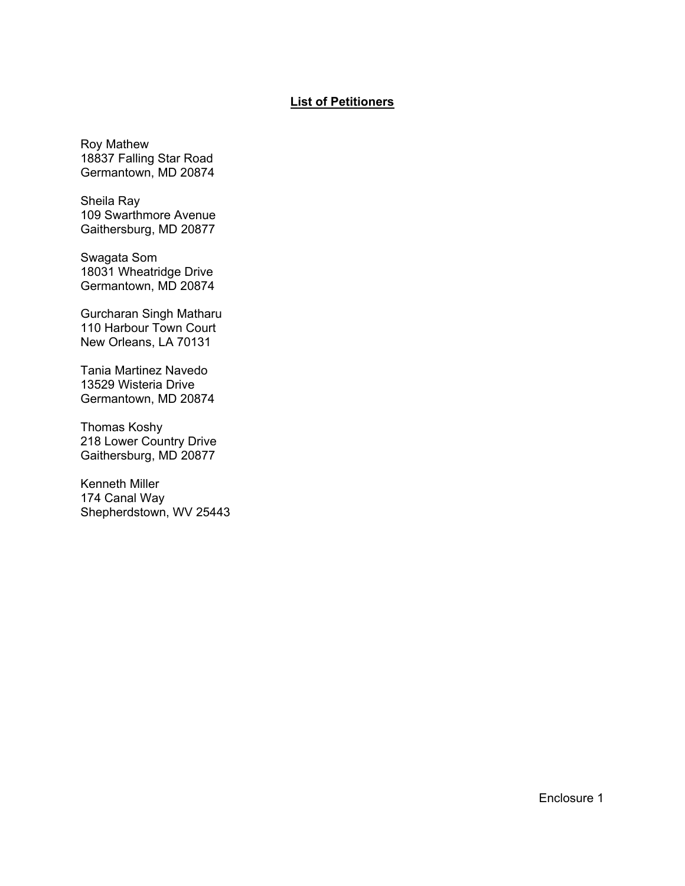### **List of Petitioners**

Roy Mathew 18837 Falling Star Road Germantown, MD 20874

Sheila Ray 109 Swarthmore Avenue Gaithersburg, MD 20877

Swagata Som 18031 Wheatridge Drive Germantown, MD 20874

Gurcharan Singh Matharu 110 Harbour Town Court New Orleans, LA 70131

Tania Martinez Navedo 13529 Wisteria Drive Germantown, MD 20874

Thomas Koshy 218 Lower Country Drive Gaithersburg, MD 20877

Kenneth Miller 174 Canal Way Shepherdstown, WV 25443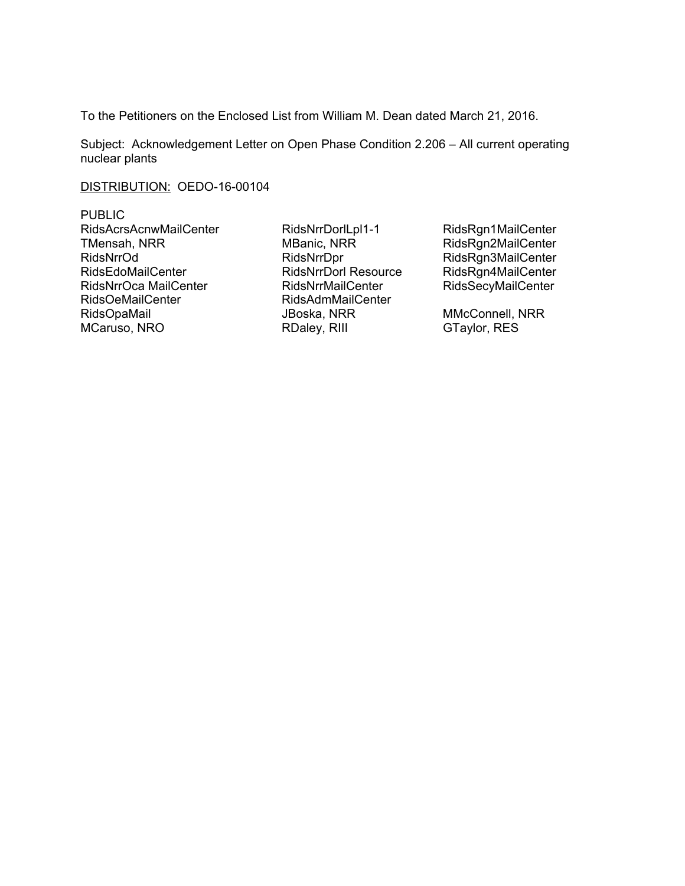To the Petitioners on the Enclosed List from William M. Dean dated March 21, 2016.

Subject: Acknowledgement Letter on Open Phase Condition 2.206 – All current operating nuclear plants

DISTRIBUTION: OEDO-16-00104

PUBLIC RidsAcrsAcnwMailCenter RidsNrrDorlLpl1-1 RidsRgn1MailCenter TMensah, NRR MBanic, NRR RidsRgn2MailCenter RidsNrrOd RidsNrrDpr RidsNrrDpr RidsRgn3MailCenter RidsEdoMailCenter RidsNrrDorl Resource RidsRgn4MailCenter RidsNrrOca MailCenter **RidsNrrMailCenter** RidsSecyMailCenter RidsOeMailCenter RidsAdmMailCenter RidsOpaMail **All Strates Here** JBoska, NRR MMcConnell, NRR

MCaruso, NRO RDaley, RIII GTaylor, RES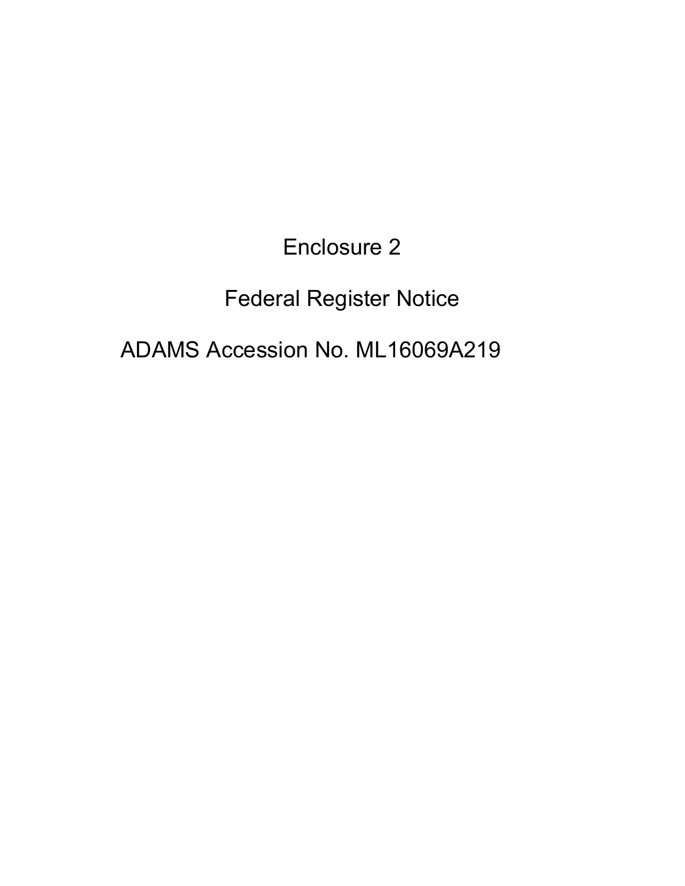Enclosure 2

# Federal Register Notice

## ADAMS Accession No. ML16069A219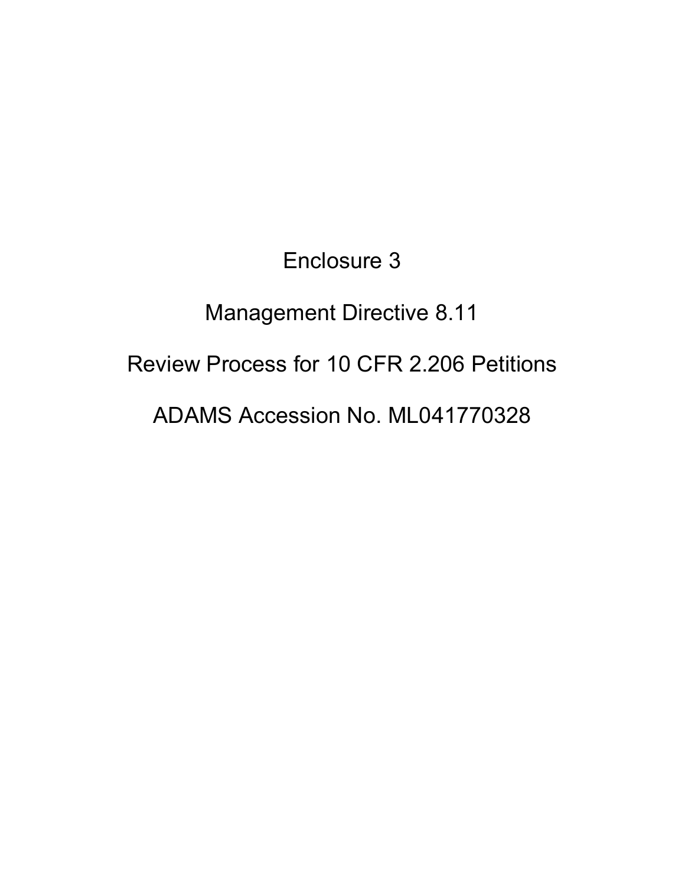Enclosure 3 Management Directive 8.11 Review Process for 10 CFR 2.206 Petitions ADAMS Accession No. ML041770328